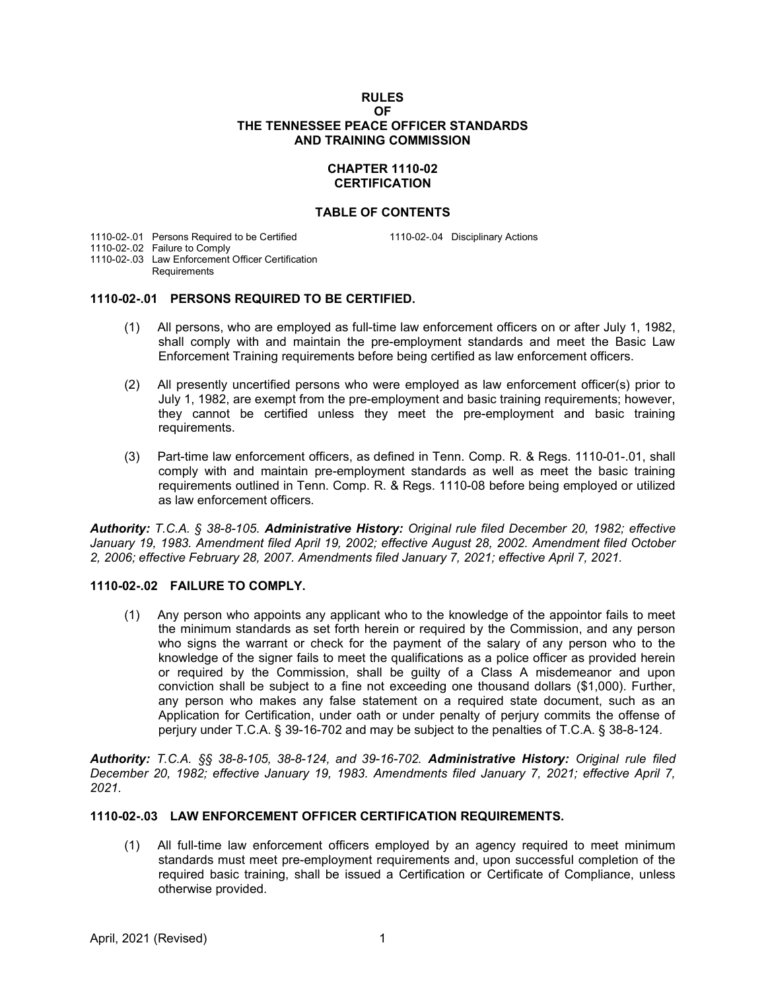#### **RULES OF THE TENNESSEE PEACE OFFICER STANDARDS AND TRAINING COMMISSION**

# **CHAPTER 1110-02 CERTIFICATION**

### **TABLE OF CONTENTS**

1110-02-.01 Persons Required to be Certified 1110-02-.04 Disciplinary Actions

1110-02-.02 Failure to Comply

1110-02-.03 Law Enforcement Officer Certification **Requirements** 

# **1110-02-.01 PERSONS REQUIRED TO BE CERTIFIED.**

- (1) All persons, who are employed as full-time law enforcement officers on or after July 1, 1982, shall comply with and maintain the pre-employment standards and meet the Basic Law Enforcement Training requirements before being certified as law enforcement officers.
- (2) All presently uncertified persons who were employed as law enforcement officer(s) prior to July 1, 1982, are exempt from the pre-employment and basic training requirements; however, they cannot be certified unless they meet the pre-employment and basic training requirements.
- (3) Part-time law enforcement officers, as defined in Tenn. Comp. R. & Regs. 1110-01-.01, shall comply with and maintain pre-employment standards as well as meet the basic training requirements outlined in Tenn. Comp. R. & Regs. 1110-08 before being employed or utilized as law enforcement officers.

*Authority: T.C.A. § 38-8-105. Administrative History: Original rule filed December 20, 1982; effective January 19, 1983. Amendment filed April 19, 2002; effective August 28, 2002. Amendment filed October 2, 2006; effective February 28, 2007. Amendments filed January 7, 2021; effective April 7, 2021.*

# **1110-02-.02 FAILURE TO COMPLY.**

(1) Any person who appoints any applicant who to the knowledge of the appointor fails to meet the minimum standards as set forth herein or required by the Commission, and any person who signs the warrant or check for the payment of the salary of any person who to the knowledge of the signer fails to meet the qualifications as a police officer as provided herein or required by the Commission, shall be guilty of a Class A misdemeanor and upon conviction shall be subject to a fine not exceeding one thousand dollars (\$1,000). Further, any person who makes any false statement on a required state document, such as an Application for Certification, under oath or under penalty of perjury commits the offense of perjury under T.C.A. § 39-16-702 and may be subject to the penalties of T.C.A. § 38-8-124.

*Authority: T.C.A. §§ 38-8-105, 38-8-124, and 39-16-702. Administrative History: Original rule filed December 20, 1982; effective January 19, 1983. Amendments filed January 7, 2021; effective April 7, 2021.*

# **1110-02-.03 LAW ENFORCEMENT OFFICER CERTIFICATION REQUIREMENTS.**

(1) All full-time law enforcement officers employed by an agency required to meet minimum standards must meet pre-employment requirements and, upon successful completion of the required basic training, shall be issued a Certification or Certificate of Compliance, unless otherwise provided.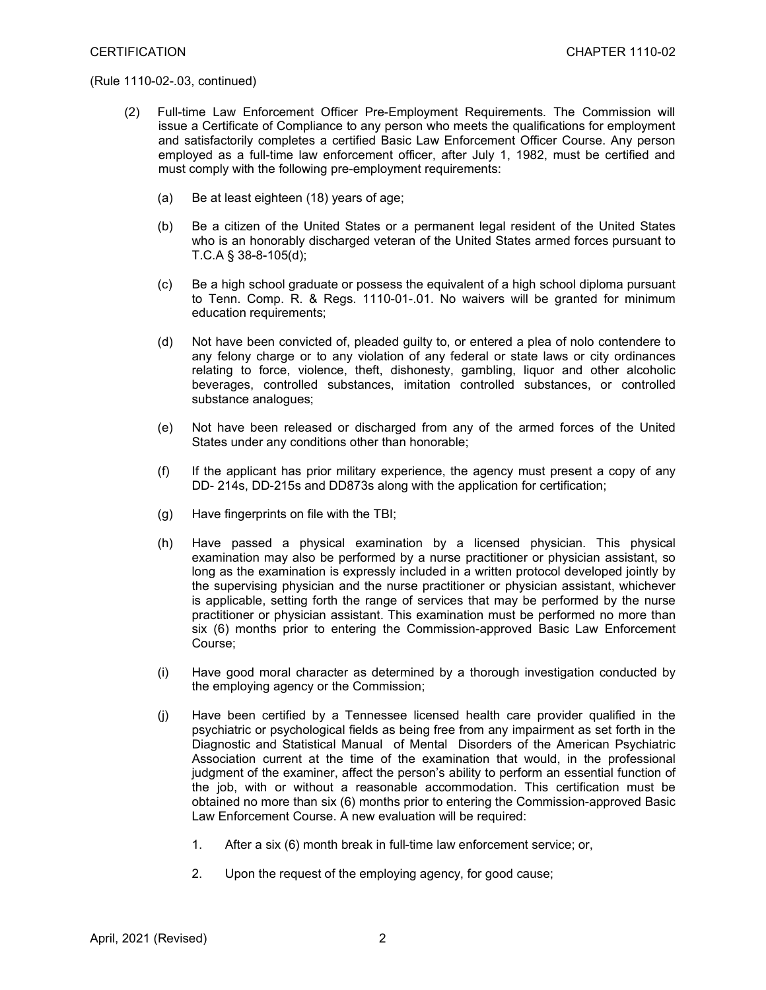- (2) Full-time Law Enforcement Officer Pre-Employment Requirements. The Commission will issue a Certificate of Compliance to any person who meets the qualifications for employment and satisfactorily completes a certified Basic Law Enforcement Officer Course. Any person employed as a full-time law enforcement officer, after July 1, 1982, must be certified and must comply with the following pre-employment requirements:
	- (a) Be at least eighteen (18) years of age;
	- (b) Be a citizen of the United States or a permanent legal resident of the United States who is an honorably discharged veteran of the United States armed forces pursuant to T.C.A § 38-8-105(d);
	- (c) Be a high school graduate or possess the equivalent of a high school diploma pursuant to Tenn. Comp. R. & Regs. 1110-01-.01. No waivers will be granted for minimum education requirements;
	- (d) Not have been convicted of, pleaded guilty to, or entered a plea of nolo contendere to any felony charge or to any violation of any federal or state laws or city ordinances relating to force, violence, theft, dishonesty, gambling, liquor and other alcoholic beverages, controlled substances, imitation controlled substances, or controlled substance analogues;
	- (e) Not have been released or discharged from any of the armed forces of the United States under any conditions other than honorable;
	- (f) If the applicant has prior military experience, the agency must present a copy of any DD- 214s, DD-215s and DD873s along with the application for certification;
	- (g) Have fingerprints on file with the TBI;
	- (h) Have passed a physical examination by a licensed physician. This physical examination may also be performed by a nurse practitioner or physician assistant, so long as the examination is expressly included in a written protocol developed jointly by the supervising physician and the nurse practitioner or physician assistant, whichever is applicable, setting forth the range of services that may be performed by the nurse practitioner or physician assistant. This examination must be performed no more than six (6) months prior to entering the Commission-approved Basic Law Enforcement Course;
	- (i) Have good moral character as determined by a thorough investigation conducted by the employing agency or the Commission;
	- (j) Have been certified by a Tennessee licensed health care provider qualified in the psychiatric or psychological fields as being free from any impairment as set forth in the Diagnostic and Statistical Manual of Mental Disorders of the American Psychiatric Association current at the time of the examination that would, in the professional judgment of the examiner, affect the person's ability to perform an essential function of the job, with or without a reasonable accommodation. This certification must be obtained no more than six (6) months prior to entering the Commission-approved Basic Law Enforcement Course. A new evaluation will be required:
		- 1. After a six (6) month break in full-time law enforcement service; or,
		- 2. Upon the request of the employing agency, for good cause;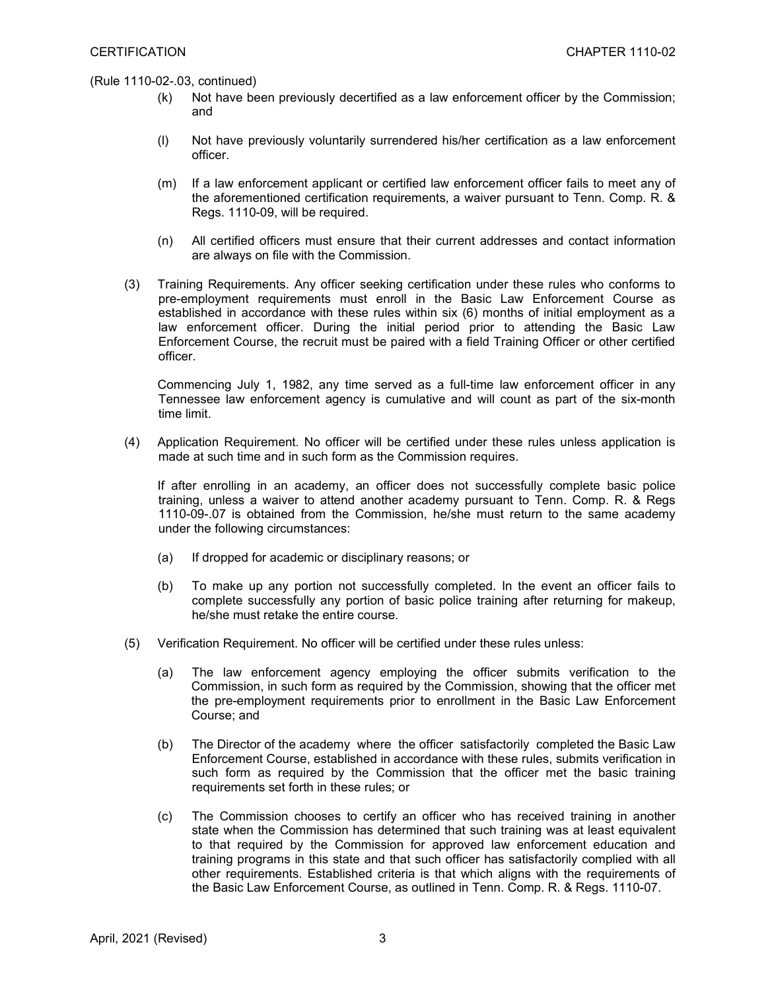- (k) Not have been previously decertified as a law enforcement officer by the Commission; and
- (l) Not have previously voluntarily surrendered his/her certification as a law enforcement officer.
- (m) If a law enforcement applicant or certified law enforcement officer fails to meet any of the aforementioned certification requirements, a waiver pursuant to Tenn. Comp. R. & Regs. 1110-09, will be required.
- (n) All certified officers must ensure that their current addresses and contact information are always on file with the Commission.
- (3) Training Requirements. Any officer seeking certification under these rules who conforms to pre-employment requirements must enroll in the Basic Law Enforcement Course as established in accordance with these rules within six (6) months of initial employment as a law enforcement officer. During the initial period prior to attending the Basic Law Enforcement Course, the recruit must be paired with a field Training Officer or other certified officer.

Commencing July 1, 1982, any time served as a full-time law enforcement officer in any Tennessee law enforcement agency is cumulative and will count as part of the six-month time limit.

(4) Application Requirement. No officer will be certified under these rules unless application is made at such time and in such form as the Commission requires.

If after enrolling in an academy, an officer does not successfully complete basic police training, unless a waiver to attend another academy pursuant to Tenn. Comp. R. & Regs 1110-09-.07 is obtained from the Commission, he/she must return to the same academy under the following circumstances:

- (a) If dropped for academic or disciplinary reasons; or
- (b) To make up any portion not successfully completed. In the event an officer fails to complete successfully any portion of basic police training after returning for makeup, he/she must retake the entire course.
- (5) Verification Requirement. No officer will be certified under these rules unless:
	- (a) The law enforcement agency employing the officer submits verification to the Commission, in such form as required by the Commission, showing that the officer met the pre-employment requirements prior to enrollment in the Basic Law Enforcement Course; and
	- (b) The Director of the academy where the officer satisfactorily completed the Basic Law Enforcement Course, established in accordance with these rules, submits verification in such form as required by the Commission that the officer met the basic training requirements set forth in these rules; or
	- (c) The Commission chooses to certify an officer who has received training in another state when the Commission has determined that such training was at least equivalent to that required by the Commission for approved law enforcement education and training programs in this state and that such officer has satisfactorily complied with all other requirements. Established criteria is that which aligns with the requirements of the Basic Law Enforcement Course, as outlined in Tenn. Comp. R. & Regs. 1110-07.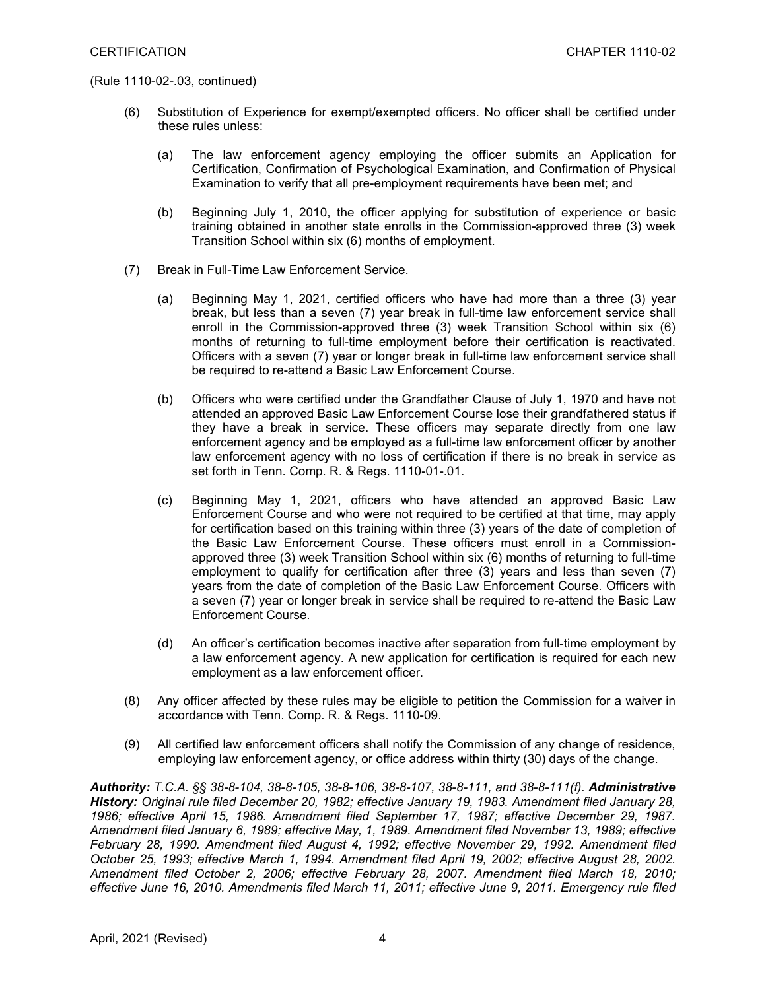- (6) Substitution of Experience for exempt/exempted officers. No officer shall be certified under these rules unless:
	- (a) The law enforcement agency employing the officer submits an Application for Certification, Confirmation of Psychological Examination, and Confirmation of Physical Examination to verify that all pre-employment requirements have been met; and
	- (b) Beginning July 1, 2010, the officer applying for substitution of experience or basic training obtained in another state enrolls in the Commission-approved three (3) week Transition School within six (6) months of employment.
- (7) Break in Full-Time Law Enforcement Service.
	- (a) Beginning May 1, 2021, certified officers who have had more than a three (3) year break, but less than a seven (7) year break in full-time law enforcement service shall enroll in the Commission-approved three (3) week Transition School within six (6) months of returning to full-time employment before their certification is reactivated. Officers with a seven (7) year or longer break in full-time law enforcement service shall be required to re-attend a Basic Law Enforcement Course.
	- (b) Officers who were certified under the Grandfather Clause of July 1, 1970 and have not attended an approved Basic Law Enforcement Course lose their grandfathered status if they have a break in service. These officers may separate directly from one law enforcement agency and be employed as a full-time law enforcement officer by another law enforcement agency with no loss of certification if there is no break in service as set forth in Tenn. Comp. R. & Regs. 1110-01-.01.
	- (c) Beginning May 1, 2021, officers who have attended an approved Basic Law Enforcement Course and who were not required to be certified at that time, may apply for certification based on this training within three (3) years of the date of completion of the Basic Law Enforcement Course. These officers must enroll in a Commissionapproved three (3) week Transition School within six (6) months of returning to full-time employment to qualify for certification after three (3) years and less than seven (7) years from the date of completion of the Basic Law Enforcement Course. Officers with a seven (7) year or longer break in service shall be required to re-attend the Basic Law Enforcement Course.
	- (d) An officer's certification becomes inactive after separation from full-time employment by a law enforcement agency. A new application for certification is required for each new employment as a law enforcement officer.
- (8) Any officer affected by these rules may be eligible to petition the Commission for a waiver in accordance with Tenn. Comp. R. & Regs. 1110-09.
- (9) All certified law enforcement officers shall notify the Commission of any change of residence, employing law enforcement agency, or office address within thirty (30) days of the change.

*Authority: T.C.A. §§ 38-8-104, 38-8-105, 38-8-106, 38-8-107, 38-8-111, and 38-8-111(f). Administrative History: Original rule filed December 20, 1982; effective January 19, 1983. Amendment filed January 28, 1986; effective April 15, 1986. Amendment filed September 17, 1987; effective December 29, 1987. Amendment filed January 6, 1989; effective May, 1, 1989. Amendment filed November 13, 1989; effective February 28, 1990. Amendment filed August 4, 1992; effective November 29, 1992. Amendment filed October 25, 1993; effective March 1, 1994. Amendment filed April 19, 2002; effective August 28, 2002. Amendment filed October 2, 2006; effective February 28, 2007. Amendment filed March 18, 2010; effective June 16, 2010. Amendments filed March 11, 2011; effective June 9, 2011. Emergency rule filed*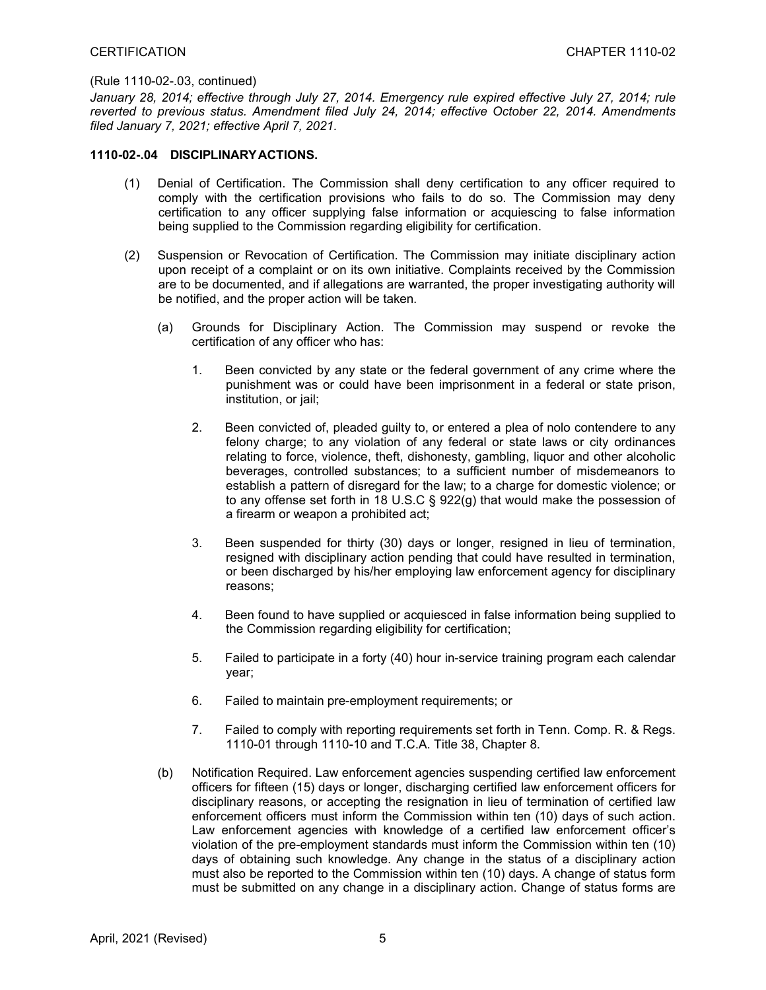*January 28, 2014; effective through July 27, 2014. Emergency rule expired effective July 27, 2014; rule reverted to previous status. Amendment filed July 24, 2014; effective October 22, 2014. Amendments filed January 7, 2021; effective April 7, 2021.*

#### **1110-02-.04 DISCIPLINARYACTIONS.**

- (1) Denial of Certification. The Commission shall deny certification to any officer required to comply with the certification provisions who fails to do so. The Commission may deny certification to any officer supplying false information or acquiescing to false information being supplied to the Commission regarding eligibility for certification.
- (2) Suspension or Revocation of Certification. The Commission may initiate disciplinary action upon receipt of a complaint or on its own initiative. Complaints received by the Commission are to be documented, and if allegations are warranted, the proper investigating authority will be notified, and the proper action will be taken.
	- (a) Grounds for Disciplinary Action. The Commission may suspend or revoke the certification of any officer who has:
		- 1. Been convicted by any state or the federal government of any crime where the punishment was or could have been imprisonment in a federal or state prison, institution, or jail;
		- 2. Been convicted of, pleaded guilty to, or entered a plea of nolo contendere to any felony charge; to any violation of any federal or state laws or city ordinances relating to force, violence, theft, dishonesty, gambling, liquor and other alcoholic beverages, controlled substances; to a sufficient number of misdemeanors to establish a pattern of disregard for the law; to a charge for domestic violence; or to any offense set forth in 18 U.S.C § 922(g) that would make the possession of a firearm or weapon a prohibited act;
		- 3. Been suspended for thirty (30) days or longer, resigned in lieu of termination, resigned with disciplinary action pending that could have resulted in termination, or been discharged by his/her employing law enforcement agency for disciplinary reasons;
		- 4. Been found to have supplied or acquiesced in false information being supplied to the Commission regarding eligibility for certification;
		- 5. Failed to participate in a forty (40) hour in-service training program each calendar year;
		- 6. Failed to maintain pre-employment requirements; or
		- 7. Failed to comply with reporting requirements set forth in Tenn. Comp. R. & Regs. 1110-01 through 1110-10 and T.C.A. Title 38, Chapter 8.
	- (b) Notification Required. Law enforcement agencies suspending certified law enforcement officers for fifteen (15) days or longer, discharging certified law enforcement officers for disciplinary reasons, or accepting the resignation in lieu of termination of certified law enforcement officers must inform the Commission within ten (10) days of such action. Law enforcement agencies with knowledge of a certified law enforcement officer's violation of the pre-employment standards must inform the Commission within ten (10) days of obtaining such knowledge. Any change in the status of a disciplinary action must also be reported to the Commission within ten (10) days. A change of status form must be submitted on any change in a disciplinary action. Change of status forms are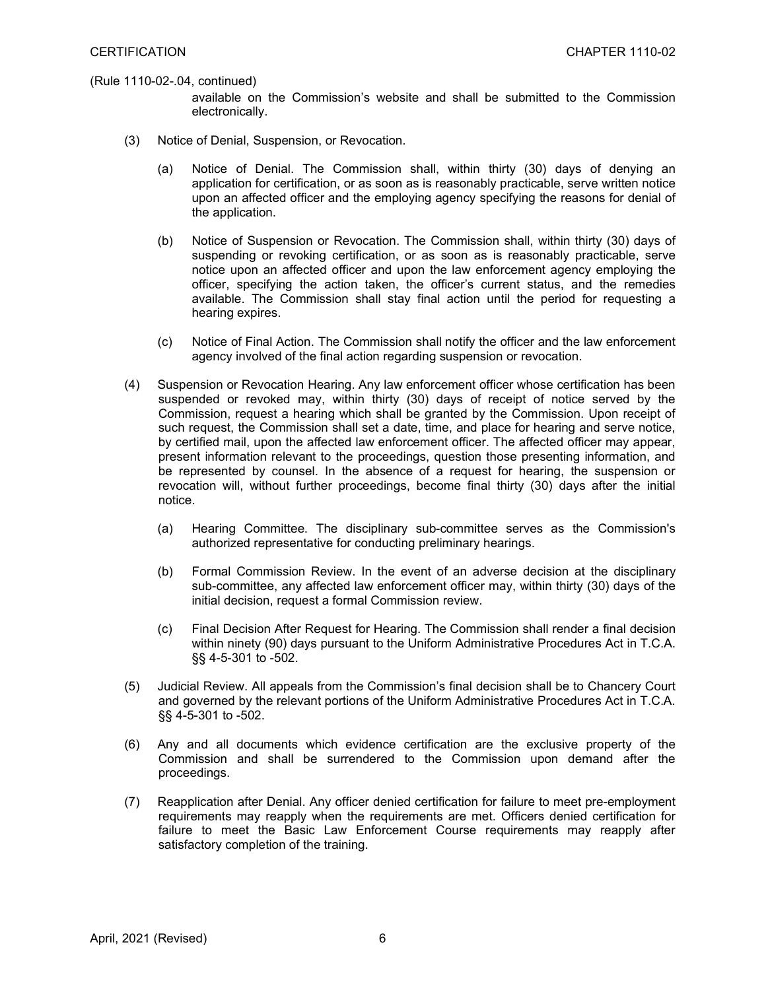available on the Commission's website and shall be submitted to the Commission electronically.

- (3) Notice of Denial, Suspension, or Revocation.
	- (a) Notice of Denial. The Commission shall, within thirty (30) days of denying an application for certification, or as soon as is reasonably practicable, serve written notice upon an affected officer and the employing agency specifying the reasons for denial of the application.
	- (b) Notice of Suspension or Revocation. The Commission shall, within thirty (30) days of suspending or revoking certification, or as soon as is reasonably practicable, serve notice upon an affected officer and upon the law enforcement agency employing the officer, specifying the action taken, the officer's current status, and the remedies available. The Commission shall stay final action until the period for requesting a hearing expires.
	- (c) Notice of Final Action. The Commission shall notify the officer and the law enforcement agency involved of the final action regarding suspension or revocation.
- (4) Suspension or Revocation Hearing. Any law enforcement officer whose certification has been suspended or revoked may, within thirty (30) days of receipt of notice served by the Commission, request a hearing which shall be granted by the Commission. Upon receipt of such request, the Commission shall set a date, time, and place for hearing and serve notice, by certified mail, upon the affected law enforcement officer. The affected officer may appear, present information relevant to the proceedings, question those presenting information, and be represented by counsel. In the absence of a request for hearing, the suspension or revocation will, without further proceedings, become final thirty (30) days after the initial notice.
	- (a) Hearing Committee. The disciplinary sub-committee serves as the Commission's authorized representative for conducting preliminary hearings.
	- (b) Formal Commission Review. In the event of an adverse decision at the disciplinary sub-committee, any affected law enforcement officer may, within thirty (30) days of the initial decision, request a formal Commission review.
	- (c) Final Decision After Request for Hearing. The Commission shall render a final decision within ninety (90) days pursuant to the Uniform Administrative Procedures Act in T.C.A. §§ 4-5-301 to -502.
- (5) Judicial Review. All appeals from the Commission's final decision shall be to Chancery Court and governed by the relevant portions of the Uniform Administrative Procedures Act in T.C.A. §§ 4-5-301 to -502.
- (6) Any and all documents which evidence certification are the exclusive property of the Commission and shall be surrendered to the Commission upon demand after the proceedings.
- (7) Reapplication after Denial. Any officer denied certification for failure to meet pre-employment requirements may reapply when the requirements are met. Officers denied certification for failure to meet the Basic Law Enforcement Course requirements may reapply after satisfactory completion of the training.